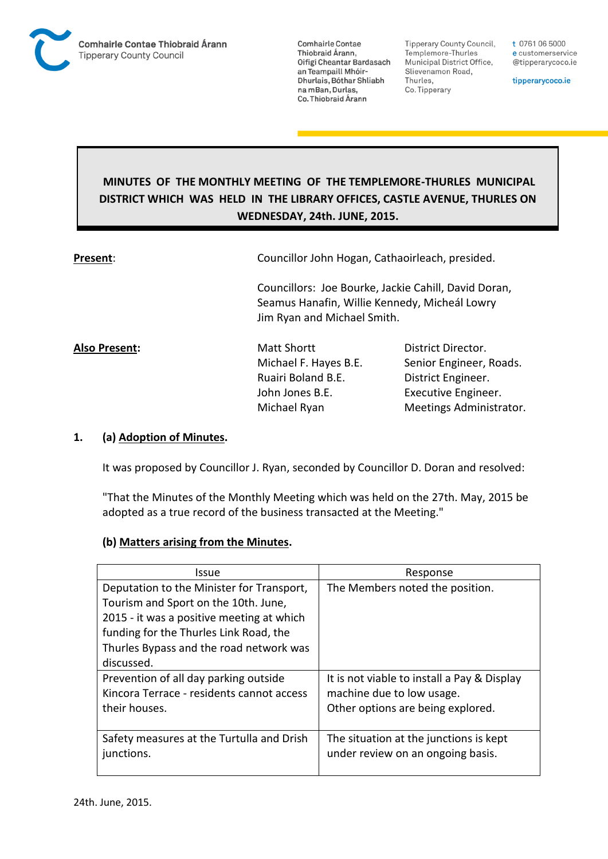

**Comhairle Contae** Thiobraid Árann, Oifigí Cheantar Bardasach an Teampaill Mhóir-Dhurlais, Bóthar Shliabh na mBan, Durlas, Co. Thiobraid Árann

**Tipperary County Council,** Templemore-Thurles Municipal District Office, Slievenamon Road, Thurles, Co. Tipperary

t 0761 06 5000 e customerservice @tipperarycoco.ie

tipperarycoco.ie

# **MINUTES OF THE MONTHLY MEETING OF THE TEMPLEMORE-THURLES MUNICIPAL DISTRICT WHICH WAS HELD IN THE LIBRARY OFFICES, CASTLE AVENUE, THURLES ON WEDNESDAY, 24th. JUNE, 2015.**

| Present:      | Councillor John Hogan, Cathaoirleach, presided.                                                                                      |                         |  |  |  |
|---------------|--------------------------------------------------------------------------------------------------------------------------------------|-------------------------|--|--|--|
|               | Councillors: Joe Bourke, Jackie Cahill, David Doran,<br>Seamus Hanafin, Willie Kennedy, Micheál Lowry<br>Jim Ryan and Michael Smith. |                         |  |  |  |
| Also Present: | Matt Shortt                                                                                                                          | District Director.      |  |  |  |
|               | Michael F. Hayes B.E.                                                                                                                | Senior Engineer, Roads. |  |  |  |
|               | Ruairi Boland B.E.                                                                                                                   | District Engineer.      |  |  |  |
|               | John Jones B.E.                                                                                                                      | Executive Engineer.     |  |  |  |
|               | Michael Ryan                                                                                                                         | Meetings Administrator. |  |  |  |

## **1. (a) Adoption of Minutes.**

It was proposed by Councillor J. Ryan, seconded by Councillor D. Doran and resolved:

"That the Minutes of the Monthly Meeting which was held on the 27th. May, 2015 be adopted as a true record of the business transacted at the Meeting."

#### **(b) Matters arising from the Minutes.**

| Issue                                     | Response                                    |  |  |
|-------------------------------------------|---------------------------------------------|--|--|
| Deputation to the Minister for Transport, | The Members noted the position.             |  |  |
| Tourism and Sport on the 10th. June,      |                                             |  |  |
| 2015 - it was a positive meeting at which |                                             |  |  |
| funding for the Thurles Link Road, the    |                                             |  |  |
| Thurles Bypass and the road network was   |                                             |  |  |
| discussed.                                |                                             |  |  |
| Prevention of all day parking outside     | It is not viable to install a Pay & Display |  |  |
| Kincora Terrace - residents cannot access | machine due to low usage.                   |  |  |
| their houses.                             | Other options are being explored.           |  |  |
|                                           |                                             |  |  |
| Safety measures at the Turtulla and Drish | The situation at the junctions is kept      |  |  |
| junctions.                                | under review on an ongoing basis.           |  |  |
|                                           |                                             |  |  |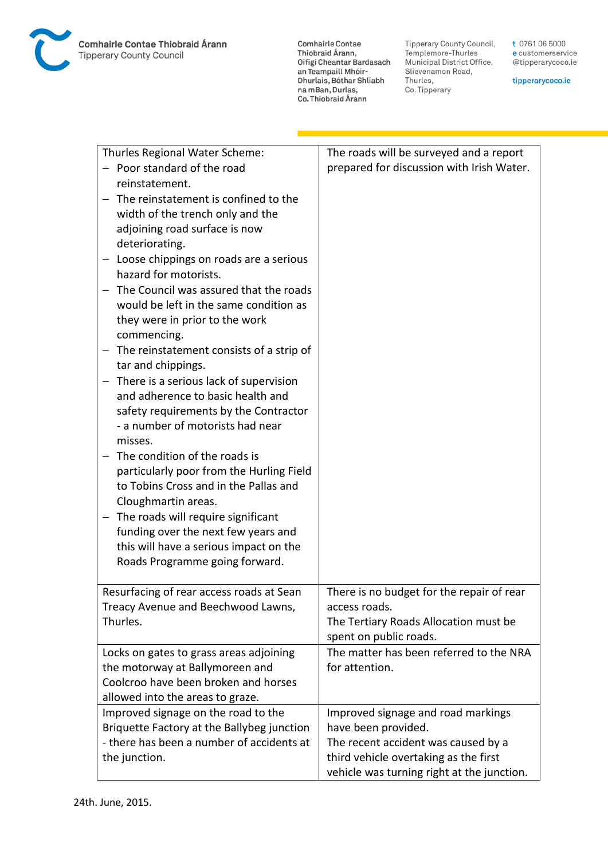**Comhairle Contae** Commante Contae<br>Thiobraid Árann,<br>Oifigí Cheantar Bardasach an Teampaill Mhóir-<br>Dhurlais, Bóthar Shliabh na mBan, Durlas,<br>Co. Thiobraid Árann

Tipperary County Council,<br>Templemore-Thurles<br>Municipal District Office, Slievenamon Road, Thurles, Co. Tipperary

t 0761 06 5000 e customerservice @tipperarycoco.ie

tipperarycoco.ie

| Thurles Regional Water Scheme:<br>Poor standard of the road<br>reinstatement.<br>The reinstatement is confined to the<br>width of the trench only and the<br>adjoining road surface is now<br>deteriorating.<br>Loose chippings on roads are a serious<br>hazard for motorists.<br>The Council was assured that the roads<br>would be left in the same condition as<br>they were in prior to the work<br>commencing.<br>The reinstatement consists of a strip of<br>tar and chippings.<br>There is a serious lack of supervision<br>and adherence to basic health and<br>safety requirements by the Contractor<br>- a number of motorists had near<br>misses.<br>The condition of the roads is<br>particularly poor from the Hurling Field<br>to Tobins Cross and in the Pallas and<br>Cloughmartin areas.<br>The roads will require significant<br>funding over the next few years and<br>this will have a serious impact on the<br>Roads Programme going forward. | The roads will be surveyed and a report<br>prepared for discussion with Irish Water.                                                                                                    |
|---------------------------------------------------------------------------------------------------------------------------------------------------------------------------------------------------------------------------------------------------------------------------------------------------------------------------------------------------------------------------------------------------------------------------------------------------------------------------------------------------------------------------------------------------------------------------------------------------------------------------------------------------------------------------------------------------------------------------------------------------------------------------------------------------------------------------------------------------------------------------------------------------------------------------------------------------------------------|-----------------------------------------------------------------------------------------------------------------------------------------------------------------------------------------|
| Resurfacing of rear access roads at Sean<br>Treacy Avenue and Beechwood Lawns,<br>Thurles.                                                                                                                                                                                                                                                                                                                                                                                                                                                                                                                                                                                                                                                                                                                                                                                                                                                                          | There is no budget for the repair of rear<br>access roads.<br>The Tertiary Roads Allocation must be<br>spent on public roads.                                                           |
| Locks on gates to grass areas adjoining<br>the motorway at Ballymoreen and<br>Coolcroo have been broken and horses<br>allowed into the areas to graze.                                                                                                                                                                                                                                                                                                                                                                                                                                                                                                                                                                                                                                                                                                                                                                                                              | The matter has been referred to the NRA<br>for attention.                                                                                                                               |
| Improved signage on the road to the<br>Briquette Factory at the Ballybeg junction<br>- there has been a number of accidents at<br>the junction.                                                                                                                                                                                                                                                                                                                                                                                                                                                                                                                                                                                                                                                                                                                                                                                                                     | Improved signage and road markings<br>have been provided.<br>The recent accident was caused by a<br>third vehicle overtaking as the first<br>vehicle was turning right at the junction. |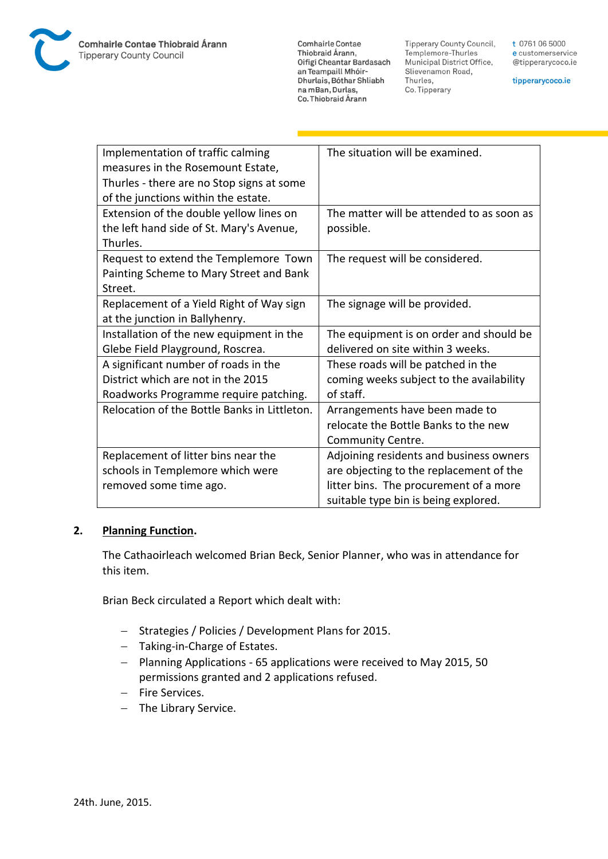

**Comhairle Contae** Thiobraid Árann, Oifigí Cheantar Bardasach an Teampaill Mhóir-Dhurlais, Bóthar Shliabh na mBan, Durlas, Co. Thiobraid Árann

**Tipperary County Council,** Templemore-Thurles Municipal District Office, Slievenamon Road, Thurles, Co. Tipperary

t 0761 06 5000 e customerservice @tipperarycoco.ie

tipperarycoco.ie

| Implementation of traffic calming            | The situation will be examined.           |
|----------------------------------------------|-------------------------------------------|
| measures in the Rosemount Estate,            |                                           |
| Thurles - there are no Stop signs at some    |                                           |
| of the junctions within the estate.          |                                           |
| Extension of the double yellow lines on      | The matter will be attended to as soon as |
| the left hand side of St. Mary's Avenue,     | possible.                                 |
| Thurles.                                     |                                           |
| Request to extend the Templemore Town        | The request will be considered.           |
| Painting Scheme to Mary Street and Bank      |                                           |
| Street.                                      |                                           |
| Replacement of a Yield Right of Way sign     | The signage will be provided.             |
| at the junction in Ballyhenry.               |                                           |
| Installation of the new equipment in the     | The equipment is on order and should be   |
| Glebe Field Playground, Roscrea.             | delivered on site within 3 weeks.         |
| A significant number of roads in the         | These roads will be patched in the        |
| District which are not in the 2015           | coming weeks subject to the availability  |
| Roadworks Programme require patching.        | of staff.                                 |
| Relocation of the Bottle Banks in Littleton. | Arrangements have been made to            |
|                                              | relocate the Bottle Banks to the new      |
|                                              | Community Centre.                         |
| Replacement of litter bins near the          | Adjoining residents and business owners   |
| schools in Templemore which were             | are objecting to the replacement of the   |
| removed some time ago.                       | litter bins. The procurement of a more    |
|                                              | suitable type bin is being explored.      |

## **2. Planning Function.**

The Cathaoirleach welcomed Brian Beck, Senior Planner, who was in attendance for this item.

Brian Beck circulated a Report which dealt with:

- Strategies / Policies / Development Plans for 2015.
- Taking-in-Charge of Estates.
- Planning Applications 65 applications were received to May 2015, 50 permissions granted and 2 applications refused.
- Fire Services.
- The Library Service.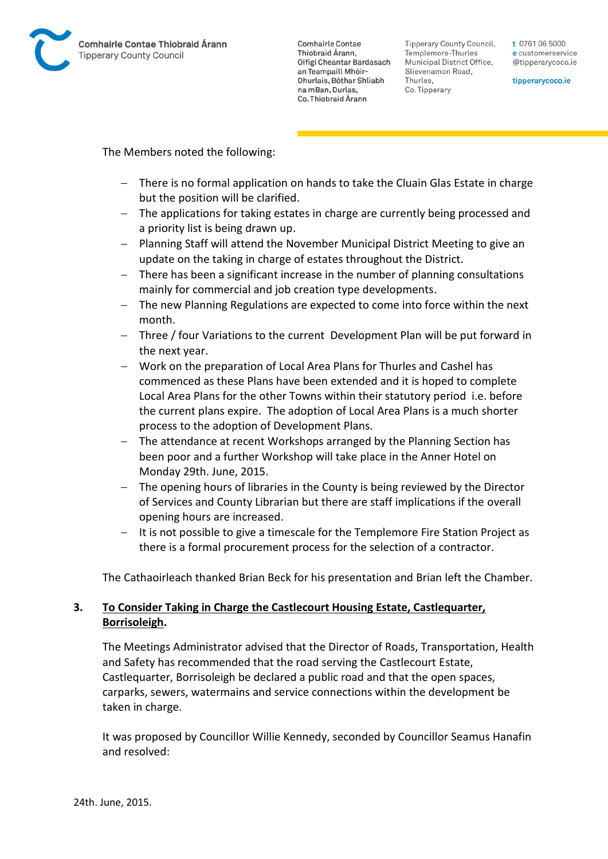

**Comhairle Contae** Thiobraid Árann. Oifigí Cheantar Bardasach an Teampaill Mhóir-Dhurlais, Bóthar Shliabh na mBan, Durlas. Co. Thiobraid Árann

Tipperary County Council. Templemore-Thurles Municipal District Office, Slievenamon Road, Thurles, Co. Tipperary

t 0761 06 5000 e customerservice @tipperarycoco.ie

tipperarycoco.ie

The Members noted the following:

- There is no formal application on hands to take the Cluain Glas Estate in charge but the position will be clarified.
- The applications for taking estates in charge are currently being processed and a priority list is being drawn up.
- Planning Staff will attend the November Municipal District Meeting to give an update on the taking in charge of estates throughout the District.
- There has been a significant increase in the number of planning consultations mainly for commercial and job creation type developments.
- The new Planning Regulations are expected to come into force within the next month.
- Three / four Variations to the current Development Plan will be put forward in the next year.
- Work on the preparation of Local Area Plans for Thurles and Cashel has commenced as these Plans have been extended and it is hoped to complete Local Area Plans for the other Towns within their statutory period i.e. before the current plans expire. The adoption of Local Area Plans is a much shorter process to the adoption of Development Plans.
- The attendance at recent Workshops arranged by the Planning Section has been poor and a further Workshop will take place in the Anner Hotel on Monday 29th. June, 2015.
- The opening hours of libraries in the County is being reviewed by the Director of Services and County Librarian but there are staff implications if the overall opening hours are increased.
- It is not possible to give a timescale for the Templemore Fire Station Project as there is a formal procurement process for the selection of a contractor.

The Cathaoirleach thanked Brian Beck for his presentation and Brian left the Chamber.

## **3. To Consider Taking in Charge the Castlecourt Housing Estate, Castlequarter, Borrisoleigh.**

The Meetings Administrator advised that the Director of Roads, Transportation, Health and Safety has recommended that the road serving the Castlecourt Estate, Castlequarter, Borrisoleigh be declared a public road and that the open spaces, carparks, sewers, watermains and service connections within the development be taken in charge.

It was proposed by Councillor Willie Kennedy, seconded by Councillor Seamus Hanafin and resolved: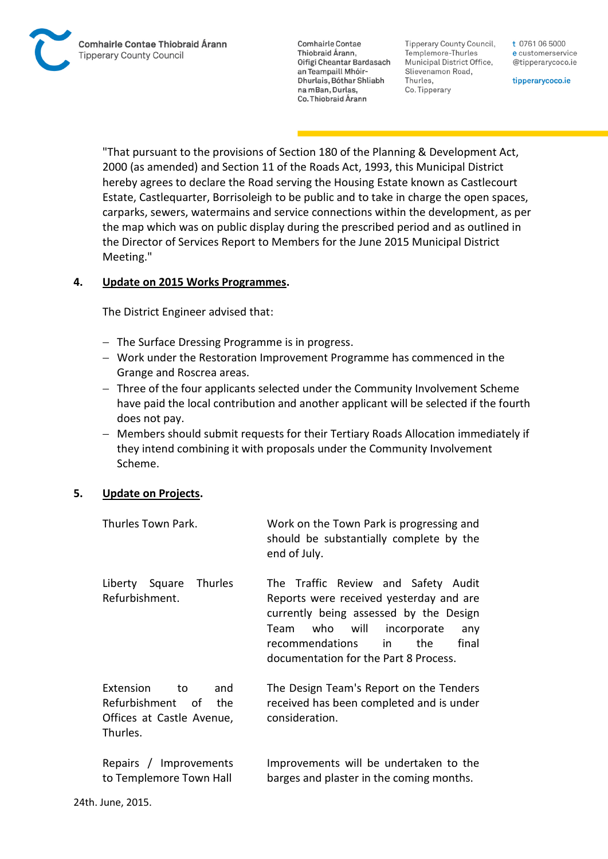**Comhairle Contae** Thiobraid Árann, Oifigí Cheantar Bardasach an Teampaill Mhóir-Dhurlais, Bóthar Shliabh na mBan, Durlas. Co. Thiobraid Árann

**Tipperary County Council,** Templemore-Thurles Municipal District Office, Slievenamon Road, Thurles, Co. Tipperary

t 0761 06 5000 e customerservice @tipperarycoco.ie

tipperarycoco.ie

"That pursuant to the provisions of Section 180 of the Planning & Development Act, 2000 (as amended) and Section 11 of the Roads Act, 1993, this Municipal District hereby agrees to declare the Road serving the Housing Estate known as Castlecourt Estate, Castlequarter, Borrisoleigh to be public and to take in charge the open spaces, carparks, sewers, watermains and service connections within the development, as per the map which was on public display during the prescribed period and as outlined in the Director of Services Report to Members for the June 2015 Municipal District Meeting."

## **4. Update on 2015 Works Programmes.**

The District Engineer advised that:

- $-$  The Surface Dressing Programme is in progress.
- Work under the Restoration Improvement Programme has commenced in the Grange and Roscrea areas.
- Three of the four applicants selected under the Community Involvement Scheme have paid the local contribution and another applicant will be selected if the fourth does not pay.
- Members should submit requests for their Tertiary Roads Allocation immediately if they intend combining it with proposals under the Community Involvement Scheme.

## **5. Update on Projects.**

| Thurles Town Park.                                                                          | Work on the Town Park is progressing and<br>should be substantially complete by the<br>end of July.                                                                                                                                                      |
|---------------------------------------------------------------------------------------------|----------------------------------------------------------------------------------------------------------------------------------------------------------------------------------------------------------------------------------------------------------|
| Liberty Square<br><b>Thurles</b><br>Refurbishment.                                          | The Traffic Review and Safety Audit<br>Reports were received yesterday and are<br>currently being assessed by the Design<br>who<br>will<br>incorporate<br>Team<br>any<br>recommendations<br>the.<br>final<br>in<br>documentation for the Part 8 Process. |
| Extension<br>and<br>to<br>Refurbishment of<br>the.<br>Offices at Castle Avenue,<br>Thurles. | The Design Team's Report on the Tenders<br>received has been completed and is under<br>consideration.                                                                                                                                                    |
| Repairs / Improvements<br>to Templemore Town Hall                                           | Improvements will be undertaken to the<br>barges and plaster in the coming months.                                                                                                                                                                       |
| 24th. June, 2015.                                                                           |                                                                                                                                                                                                                                                          |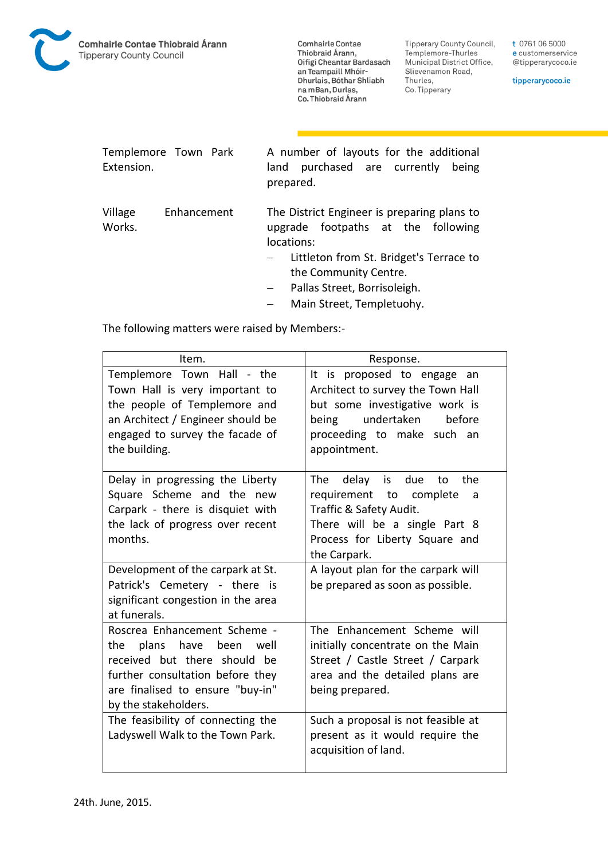

**Comhairle Contae** Commance Contac<br>Thiobraid Árann,<br>Oifigí Cheantar Bardasach an Teampaill Mhóir-Dhurlais, Bóthar Shliabh na mBan, Durlas, Co. Thiobraid Árann

**Tipperary County Council,** Templemore-Thurles Municipal District Office, Slievenamon Road, Thurles, Co. Tipperary

t 0761 06 5000 e customerservice @tipperarycoco.ie

tipperarycoco.ie

| Templemore Town Park |           | A number of layouts for the additional |  |  |  |  |  |
|----------------------|-----------|----------------------------------------|--|--|--|--|--|
| Extension.           |           | land purchased are currently being     |  |  |  |  |  |
|                      | prepared. |                                        |  |  |  |  |  |

Village Enhancement Works. The District Engineer is preparing plans to upgrade footpaths at the following locations:

- Littleton from St. Bridget's Terrace to the Community Centre.
- Pallas Street, Borrisoleigh.
- Main Street, Templetuohy.

The following matters were raised by Members:-

| Item.                                                                                                                                                                                    | Response.                                                                                                                                                                         |  |  |
|------------------------------------------------------------------------------------------------------------------------------------------------------------------------------------------|-----------------------------------------------------------------------------------------------------------------------------------------------------------------------------------|--|--|
| Templemore Town Hall - the<br>Town Hall is very important to<br>the people of Templemore and<br>an Architect / Engineer should be<br>engaged to survey the facade of<br>the building.    | It is proposed to engage an<br>Architect to survey the Town Hall<br>but some investigative work is<br>undertaken<br>before<br>being<br>proceeding to make such an<br>appointment. |  |  |
| Delay in progressing the Liberty<br>Square Scheme and the new<br>Carpark - there is disquiet with<br>the lack of progress over recent<br>months.                                         | The delay<br>due<br>the<br>to<br>is<br>requirement to complete<br>a<br>Traffic & Safety Audit.<br>There will be a single Part 8<br>Process for Liberty Square and<br>the Carpark. |  |  |
| Development of the carpark at St.<br>Patrick's Cemetery - there is<br>significant congestion in the area<br>at funerals.                                                                 | A layout plan for the carpark will<br>be prepared as soon as possible.                                                                                                            |  |  |
| Roscrea Enhancement Scheme -<br>the plans have been well<br>received but there should be<br>further consultation before they<br>are finalised to ensure "buy-in"<br>by the stakeholders. | The Enhancement Scheme will<br>initially concentrate on the Main<br>Street / Castle Street / Carpark<br>area and the detailed plans are<br>being prepared.                        |  |  |
| The feasibility of connecting the<br>Ladyswell Walk to the Town Park.                                                                                                                    | Such a proposal is not feasible at<br>present as it would require the<br>acquisition of land.                                                                                     |  |  |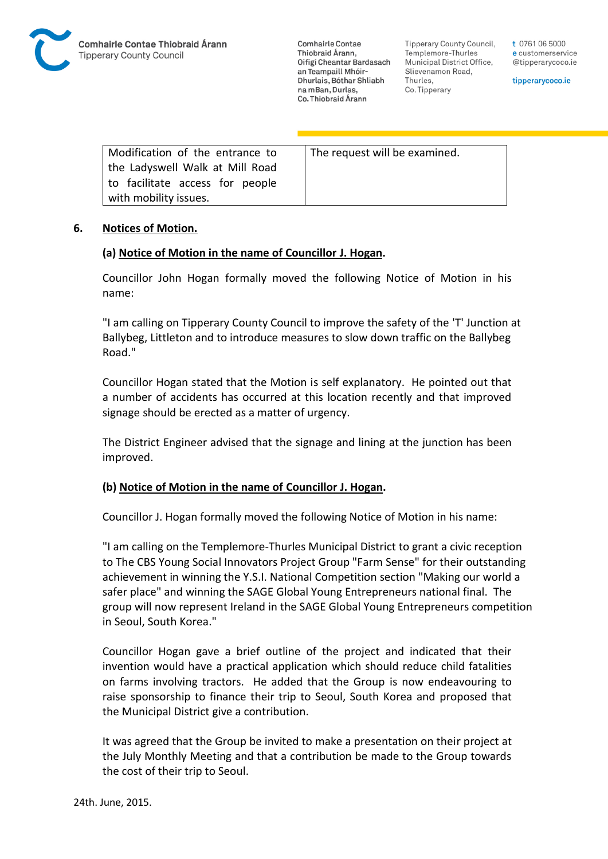

**Comhairle Contae** Thiobraid Árann. Oifigí Cheantar Bardasach an Teampaill Mhóir-Dhurlais, Bóthar Shliabh na mBan, Durlas. Co. Thiobraid Árann

Tipperary County Council. Templemore-Thurles Municipal District Office, Slievenamon Road, Thurles, Co. Tipperary

t 0761 06 5000 e customerservice @tipperarycoco.ie

tipperarycoco.ie

| Modification of the entrance to | The request will be examined. |
|---------------------------------|-------------------------------|
| the Ladyswell Walk at Mill Road |                               |
| to facilitate access for people |                               |
| with mobility issues.           |                               |

#### **6. Notices of Motion.**

#### **(a) Notice of Motion in the name of Councillor J. Hogan.**

Councillor John Hogan formally moved the following Notice of Motion in his name:

"I am calling on Tipperary County Council to improve the safety of the 'T' Junction at Ballybeg, Littleton and to introduce measures to slow down traffic on the Ballybeg Road."

Councillor Hogan stated that the Motion is self explanatory. He pointed out that a number of accidents has occurred at this location recently and that improved signage should be erected as a matter of urgency.

The District Engineer advised that the signage and lining at the junction has been improved.

## **(b) Notice of Motion in the name of Councillor J. Hogan.**

Councillor J. Hogan formally moved the following Notice of Motion in his name:

"I am calling on the Templemore-Thurles Municipal District to grant a civic reception to The CBS Young Social Innovators Project Group "Farm Sense" for their outstanding achievement in winning the Y.S.I. National Competition section "Making our world a safer place" and winning the SAGE Global Young Entrepreneurs national final. The group will now represent Ireland in the SAGE Global Young Entrepreneurs competition in Seoul, South Korea."

Councillor Hogan gave a brief outline of the project and indicated that their invention would have a practical application which should reduce child fatalities on farms involving tractors. He added that the Group is now endeavouring to raise sponsorship to finance their trip to Seoul, South Korea and proposed that the Municipal District give a contribution.

It was agreed that the Group be invited to make a presentation on their project at the July Monthly Meeting and that a contribution be made to the Group towards the cost of their trip to Seoul.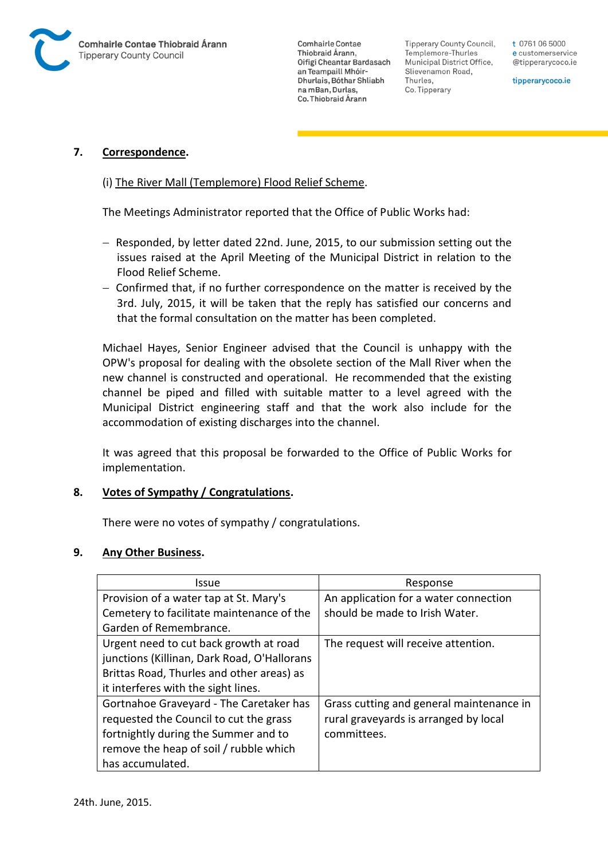

**Comhairle Contae** Thiobraid Árann. Oifigí Cheantar Bardasach an Teampaill Mhóir-Dhurlais, Bóthar Shliabh na mBan, Durlas. Co. Thiobraid Árann

**Tipperary County Council,** Templemore-Thurles Municipal District Office, Slievenamon Road, Thurles, Co. Tipperary

t 0761 06 5000 e customerservice @tipperarycoco.ie

tipperarycoco.ie

## **7. Correspondence.**

#### (i) The River Mall (Templemore) Flood Relief Scheme.

The Meetings Administrator reported that the Office of Public Works had:

- $-$  Responded, by letter dated 22nd. June, 2015, to our submission setting out the issues raised at the April Meeting of the Municipal District in relation to the Flood Relief Scheme.
- Confirmed that, if no further correspondence on the matter is received by the 3rd. July, 2015, it will be taken that the reply has satisfied our concerns and that the formal consultation on the matter has been completed.

Michael Hayes, Senior Engineer advised that the Council is unhappy with the OPW's proposal for dealing with the obsolete section of the Mall River when the new channel is constructed and operational. He recommended that the existing channel be piped and filled with suitable matter to a level agreed with the Municipal District engineering staff and that the work also include for the accommodation of existing discharges into the channel.

It was agreed that this proposal be forwarded to the Office of Public Works for implementation.

#### **8. Votes of Sympathy / Congratulations.**

There were no votes of sympathy / congratulations.

#### **9. Any Other Business.**

| Issue                                       | Response                                 |  |  |
|---------------------------------------------|------------------------------------------|--|--|
| Provision of a water tap at St. Mary's      | An application for a water connection    |  |  |
| Cemetery to facilitate maintenance of the   | should be made to Irish Water.           |  |  |
| Garden of Remembrance.                      |                                          |  |  |
| Urgent need to cut back growth at road      | The request will receive attention.      |  |  |
| junctions (Killinan, Dark Road, O'Hallorans |                                          |  |  |
| Brittas Road, Thurles and other areas) as   |                                          |  |  |
| it interferes with the sight lines.         |                                          |  |  |
| Gortnahoe Graveyard - The Caretaker has     | Grass cutting and general maintenance in |  |  |
| requested the Council to cut the grass      | rural graveyards is arranged by local    |  |  |
| fortnightly during the Summer and to        | committees.                              |  |  |
| remove the heap of soil / rubble which      |                                          |  |  |
| has accumulated.                            |                                          |  |  |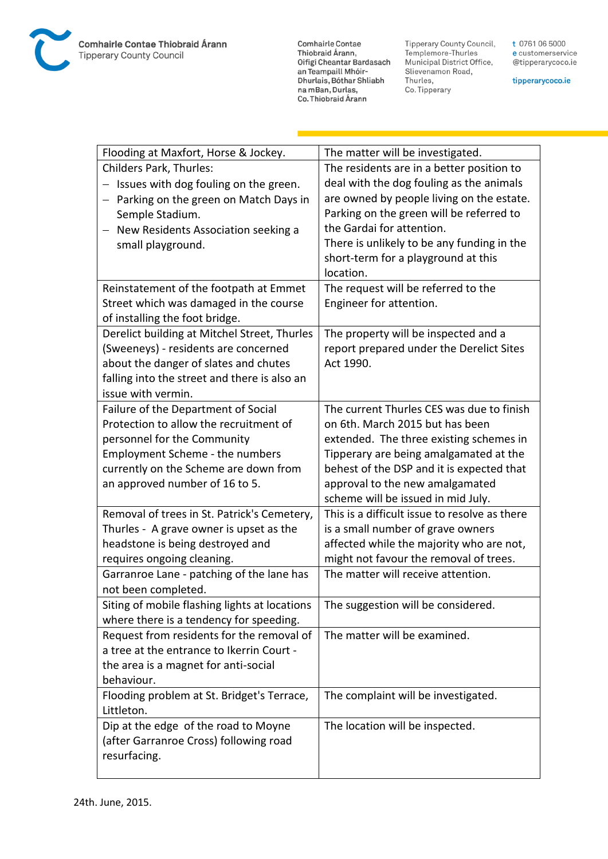

**Comhairle Contae** Commante Contae<br>Thiobraid Árann,<br>Oifigí Cheantar Bardasach an Teampaill Mhóir-<br>Dhurlais, Bóthar Shliabh na mBan, Durlas,<br>Co. Thiobraid Árann

Tipperary County Council,<br>Templemore-Thurles<br>Municipal District Office, Slievenamon Road, Thurles, Co. Tipperary

t 0761 06 5000 e customerservice @tipperarycoco.ie

tipperarycoco.ie

| Flooding at Maxfort, Horse & Jockey.          | The matter will be investigated.                                      |  |
|-----------------------------------------------|-----------------------------------------------------------------------|--|
| Childers Park, Thurles:                       | The residents are in a better position to                             |  |
| Issues with dog fouling on the green.         | deal with the dog fouling as the animals                              |  |
| Parking on the green on Match Days in         | are owned by people living on the estate.                             |  |
| Semple Stadium.                               | Parking on the green will be referred to                              |  |
| New Residents Association seeking a           | the Gardai for attention.                                             |  |
| small playground.                             | There is unlikely to be any funding in the                            |  |
|                                               | short-term for a playground at this                                   |  |
|                                               | location.                                                             |  |
| Reinstatement of the footpath at Emmet        | The request will be referred to the                                   |  |
| Street which was damaged in the course        | Engineer for attention.                                               |  |
| of installing the foot bridge.                |                                                                       |  |
| Derelict building at Mitchel Street, Thurles  | The property will be inspected and a                                  |  |
| (Sweeneys) - residents are concerned          | report prepared under the Derelict Sites                              |  |
| about the danger of slates and chutes         | Act 1990.                                                             |  |
| falling into the street and there is also an  |                                                                       |  |
| issue with vermin.                            |                                                                       |  |
| Failure of the Department of Social           | The current Thurles CES was due to finish                             |  |
| Protection to allow the recruitment of        | on 6th. March 2015 but has been                                       |  |
| personnel for the Community                   | extended. The three existing schemes in                               |  |
| Employment Scheme - the numbers               | Tipperary are being amalgamated at the                                |  |
| currently on the Scheme are down from         | behest of the DSP and it is expected that                             |  |
| an approved number of 16 to 5.                | approval to the new amalgamated<br>scheme will be issued in mid July. |  |
| Removal of trees in St. Patrick's Cemetery,   | This is a difficult issue to resolve as there                         |  |
| Thurles - A grave owner is upset as the       | is a small number of grave owners                                     |  |
| headstone is being destroyed and              | affected while the majority who are not,                              |  |
| requires ongoing cleaning.                    | might not favour the removal of trees.                                |  |
| Garranroe Lane - patching of the lane has     | The matter will receive attention.                                    |  |
| not been completed.                           |                                                                       |  |
| Siting of mobile flashing lights at locations | The suggestion will be considered.                                    |  |
| where there is a tendency for speeding.       |                                                                       |  |
| Request from residents for the removal of     | The matter will be examined.                                          |  |
| a tree at the entrance to Ikerrin Court -     |                                                                       |  |
| the area is a magnet for anti-social          |                                                                       |  |
| behaviour.                                    |                                                                       |  |
| Flooding problem at St. Bridget's Terrace,    | The complaint will be investigated.                                   |  |
| Littleton.                                    |                                                                       |  |
| Dip at the edge of the road to Moyne          | The location will be inspected.                                       |  |
| (after Garranroe Cross) following road        |                                                                       |  |
| resurfacing.                                  |                                                                       |  |
|                                               |                                                                       |  |